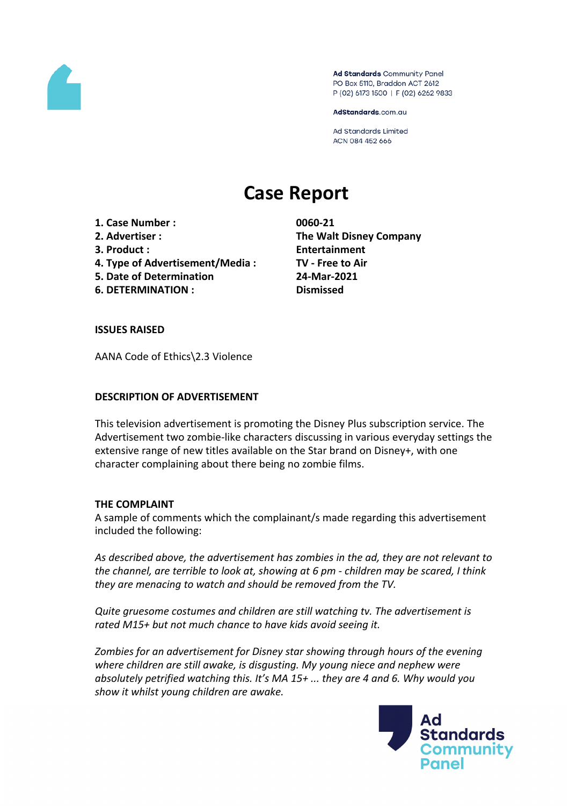

Ad Standards Community Panel PO Box 5110, Braddon ACT 2612 P (02) 6173 1500 | F (02) 6262 9833

AdStandards.com.au

**Ad Standards Limited** ACN 084 452 666

# **Case Report**

- **1. Case Number : 0060-21**
- 
- 
- **4. Type of Advertisement/Media : TV - Free to Air**
- **5. Date of Determination 24-Mar-2021**
- **6. DETERMINATION : Dismissed**

**2. Advertiser : The Walt Disney Company 3. Product : Entertainment**

### **ISSUES RAISED**

AANA Code of Ethics\2.3 Violence

### **DESCRIPTION OF ADVERTISEMENT**

This television advertisement is promoting the Disney Plus subscription service. The Advertisement two zombie-like characters discussing in various everyday settings the extensive range of new titles available on the Star brand on Disney+, with one character complaining about there being no zombie films.

## **THE COMPLAINT**

A sample of comments which the complainant/s made regarding this advertisement included the following:

*As described above, the advertisement has zombies in the ad, they are not relevant to the channel, are terrible to look at, showing at 6 pm - children may be scared, I think they are menacing to watch and should be removed from the TV.*

*Quite gruesome costumes and children are still watching tv. The advertisement is rated M15+ but not much chance to have kids avoid seeing it.*

*Zombies for an advertisement for Disney star showing through hours of the evening where children are still awake, is disgusting. My young niece and nephew were absolutely petrified watching this. It's MA 15+ ... they are 4 and 6. Why would you show it whilst young children are awake.*

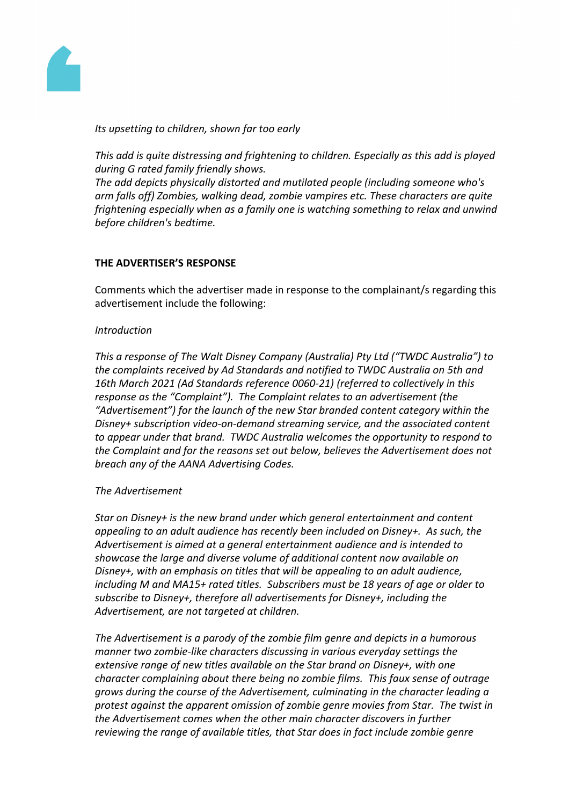

*Its upsetting to children, shown far too early*

*This add is quite distressing and frightening to children. Especially as this add is played during G rated family friendly shows.*

*The add depicts physically distorted and mutilated people (including someone who's arm falls off) Zombies, walking dead, zombie vampires etc. These characters are quite frightening especially when as a family one is watching something to relax and unwind before children's bedtime.*

## **THE ADVERTISER'S RESPONSE**

Comments which the advertiser made in response to the complainant/s regarding this advertisement include the following:

## *Introduction*

*This a response of The Walt Disney Company (Australia) Pty Ltd ("TWDC Australia") to the complaints received by Ad Standards and notified to TWDC Australia on 5th and 16th March 2021 (Ad Standards reference 0060-21) (referred to collectively in this response as the "Complaint"). The Complaint relates to an advertisement (the "Advertisement") for the launch of the new Star branded content category within the Disney+ subscription video-on-demand streaming service, and the associated content to appear under that brand. TWDC Australia welcomes the opportunity to respond to the Complaint and for the reasons set out below, believes the Advertisement does not breach any of the AANA Advertising Codes.*

## *The Advertisement*

*Star on Disney+ is the new brand under which general entertainment and content appealing to an adult audience has recently been included on Disney+. As such, the Advertisement is aimed at a general entertainment audience and is intended to showcase the large and diverse volume of additional content now available on Disney+, with an emphasis on titles that will be appealing to an adult audience, including M and MA15+ rated titles. Subscribers must be 18 years of age or older to subscribe to Disney+, therefore all advertisements for Disney+, including the Advertisement, are not targeted at children.*

*The Advertisement is a parody of the zombie film genre and depicts in a humorous manner two zombie-like characters discussing in various everyday settings the extensive range of new titles available on the Star brand on Disney+, with one character complaining about there being no zombie films. This faux sense of outrage grows during the course of the Advertisement, culminating in the character leading a protest against the apparent omission of zombie genre movies from Star. The twist in the Advertisement comes when the other main character discovers in further reviewing the range of available titles, that Star does in fact include zombie genre*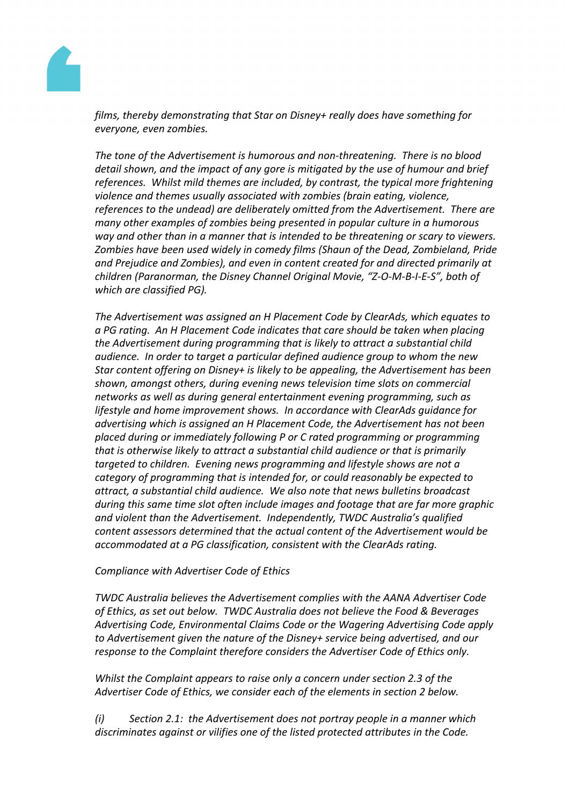

*films, thereby demonstrating that Star on Disney+ really does have something for everyone, even zombies.* 

*The tone of the Advertisement is humorous and non-threatening. There is no blood detail shown, and the impact of any gore is mitigated by the use of humour and brief references. Whilst mild themes are included, by contrast, the typical more frightening violence and themes usually associated with zombies (brain eating, violence, references to the undead) are deliberately omitted from the Advertisement. There are many other examples of zombies being presented in popular culture in a humorous way and other than in a manner that is intended to be threatening or scary to viewers. Zombies have been used widely in comedy films (Shaun of the Dead, Zombieland, Pride and Prejudice and Zombies), and even in content created for and directed primarily at children (Paranorman, the Disney Channel Original Movie, "Z-O-M-B-I-E-S", both of which are classified PG).* 

*The Advertisement was assigned an H Placement Code by ClearAds, which equates to a PG rating. An H Placement Code indicates that care should be taken when placing the Advertisement during programming that is likely to attract a substantial child audience. In order to target a particular defined audience group to whom the new Star content offering on Disney+ is likely to be appealing, the Advertisement has been shown, amongst others, during evening news television time slots on commercial networks as well as during general entertainment evening programming, such as lifestyle and home improvement shows. In accordance with ClearAds guidance for advertising which is assigned an H Placement Code, the Advertisement has not been placed during or immediately following P or C rated programming or programming that is otherwise likely to attract a substantial child audience or that is primarily targeted to children. Evening news programming and lifestyle shows are not a category of programming that is intended for, or could reasonably be expected to attract, a substantial child audience. We also note that news bulletins broadcast during this same time slot often include images and footage that are far more graphic and violent than the Advertisement. Independently, TWDC Australia's qualified content assessors determined that the actual content of the Advertisement would be accommodated at a PG classification, consistent with the ClearAds rating.*

## *Compliance with Advertiser Code of Ethics*

*TWDC Australia believes the Advertisement complies with the AANA Advertiser Code of Ethics, as set out below. TWDC Australia does not believe the Food & Beverages Advertising Code, Environmental Claims Code or the Wagering Advertising Code apply to Advertisement given the nature of the Disney+ service being advertised, and our response to the Complaint therefore considers the Advertiser Code of Ethics only.*

*Whilst the Complaint appears to raise only a concern under section 2.3 of the Advertiser Code of Ethics, we consider each of the elements in section 2 below.*

*(i) Section 2.1: the Advertisement does not portray people in a manner which discriminates against or vilifies one of the listed protected attributes in the Code.*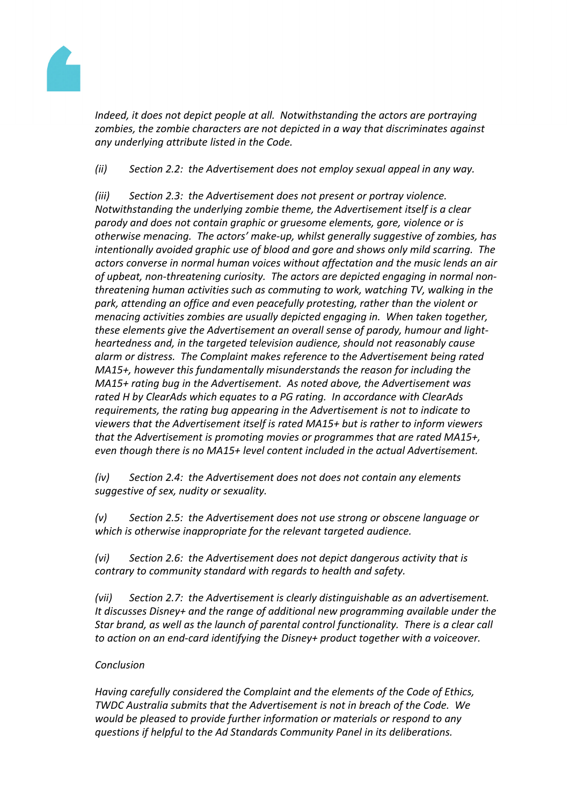

*Indeed, it does not depict people at all. Notwithstanding the actors are portraying zombies, the zombie characters are not depicted in a way that discriminates against any underlying attribute listed in the Code.*

*(ii) Section 2.2: the Advertisement does not employ sexual appeal in any way.*

*(iii) Section 2.3: the Advertisement does not present or portray violence. Notwithstanding the underlying zombie theme, the Advertisement itself is a clear parody and does not contain graphic or gruesome elements, gore, violence or is otherwise menacing. The actors' make-up, whilst generally suggestive of zombies, has intentionally avoided graphic use of blood and gore and shows only mild scarring. The actors converse in normal human voices without affectation and the music lends an air of upbeat, non-threatening curiosity. The actors are depicted engaging in normal nonthreatening human activities such as commuting to work, watching TV, walking in the park, attending an office and even peacefully protesting, rather than the violent or menacing activities zombies are usually depicted engaging in. When taken together, these elements give the Advertisement an overall sense of parody, humour and lightheartedness and, in the targeted television audience, should not reasonably cause alarm or distress. The Complaint makes reference to the Advertisement being rated MA15+, however this fundamentally misunderstands the reason for including the MA15+ rating bug in the Advertisement. As noted above, the Advertisement was rated H by ClearAds which equates to a PG rating. In accordance with ClearAds requirements, the rating bug appearing in the Advertisement is not to indicate to viewers that the Advertisement itself is rated MA15+ but is rather to inform viewers that the Advertisement is promoting movies or programmes that are rated MA15+, even though there is no MA15+ level content included in the actual Advertisement.*

*(iv) Section 2.4: the Advertisement does not does not contain any elements suggestive of sex, nudity or sexuality.*

*(v) Section 2.5: the Advertisement does not use strong or obscene language or which is otherwise inappropriate for the relevant targeted audience.*

*(vi) Section 2.6: the Advertisement does not depict dangerous activity that is contrary to community standard with regards to health and safety.*

*(vii) Section 2.7: the Advertisement is clearly distinguishable as an advertisement. It discusses Disney+ and the range of additional new programming available under the Star brand, as well as the launch of parental control functionality. There is a clear call to action on an end-card identifying the Disney+ product together with a voiceover.*

# *Conclusion*

*Having carefully considered the Complaint and the elements of the Code of Ethics, TWDC Australia submits that the Advertisement is not in breach of the Code. We would be pleased to provide further information or materials or respond to any questions if helpful to the Ad Standards Community Panel in its deliberations.*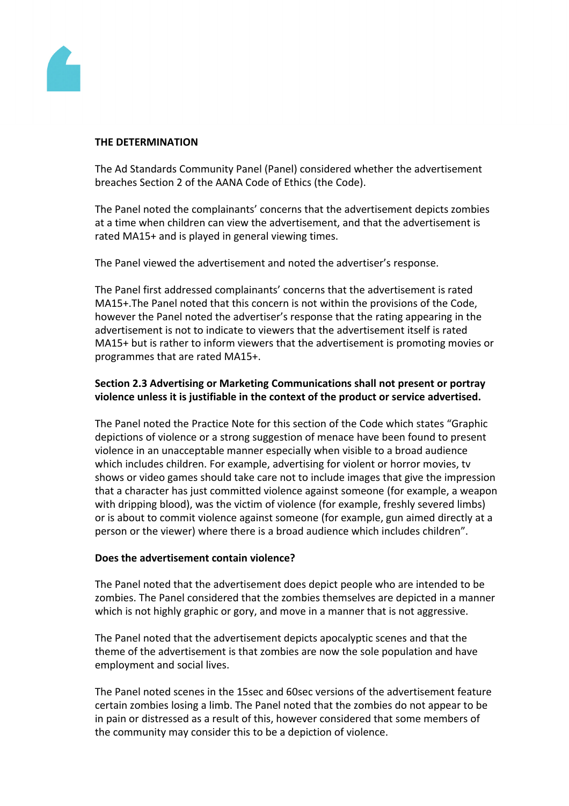

### **THE DETERMINATION**

The Ad Standards Community Panel (Panel) considered whether the advertisement breaches Section 2 of the AANA Code of Ethics (the Code).

The Panel noted the complainants' concerns that the advertisement depicts zombies at a time when children can view the advertisement, and that the advertisement is rated MA15+ and is played in general viewing times.

The Panel viewed the advertisement and noted the advertiser's response.

The Panel first addressed complainants' concerns that the advertisement is rated MA15+.The Panel noted that this concern is not within the provisions of the Code, however the Panel noted the advertiser's response that the rating appearing in the advertisement is not to indicate to viewers that the advertisement itself is rated MA15+ but is rather to inform viewers that the advertisement is promoting movies or programmes that are rated MA15+.

## **Section 2.3 Advertising or Marketing Communications shall not present or portray violence unless it is justifiable in the context of the product or service advertised.**

The Panel noted the Practice Note for this section of the Code which states "Graphic depictions of violence or a strong suggestion of menace have been found to present violence in an unacceptable manner especially when visible to a broad audience which includes children. For example, advertising for violent or horror movies, tv shows or video games should take care not to include images that give the impression that a character has just committed violence against someone (for example, a weapon with dripping blood), was the victim of violence (for example, freshly severed limbs) or is about to commit violence against someone (for example, gun aimed directly at a person or the viewer) where there is a broad audience which includes children".

## **Does the advertisement contain violence?**

The Panel noted that the advertisement does depict people who are intended to be zombies. The Panel considered that the zombies themselves are depicted in a manner which is not highly graphic or gory, and move in a manner that is not aggressive.

The Panel noted that the advertisement depicts apocalyptic scenes and that the theme of the advertisement is that zombies are now the sole population and have employment and social lives.

The Panel noted scenes in the 15sec and 60sec versions of the advertisement feature certain zombies losing a limb. The Panel noted that the zombies do not appear to be in pain or distressed as a result of this, however considered that some members of the community may consider this to be a depiction of violence.